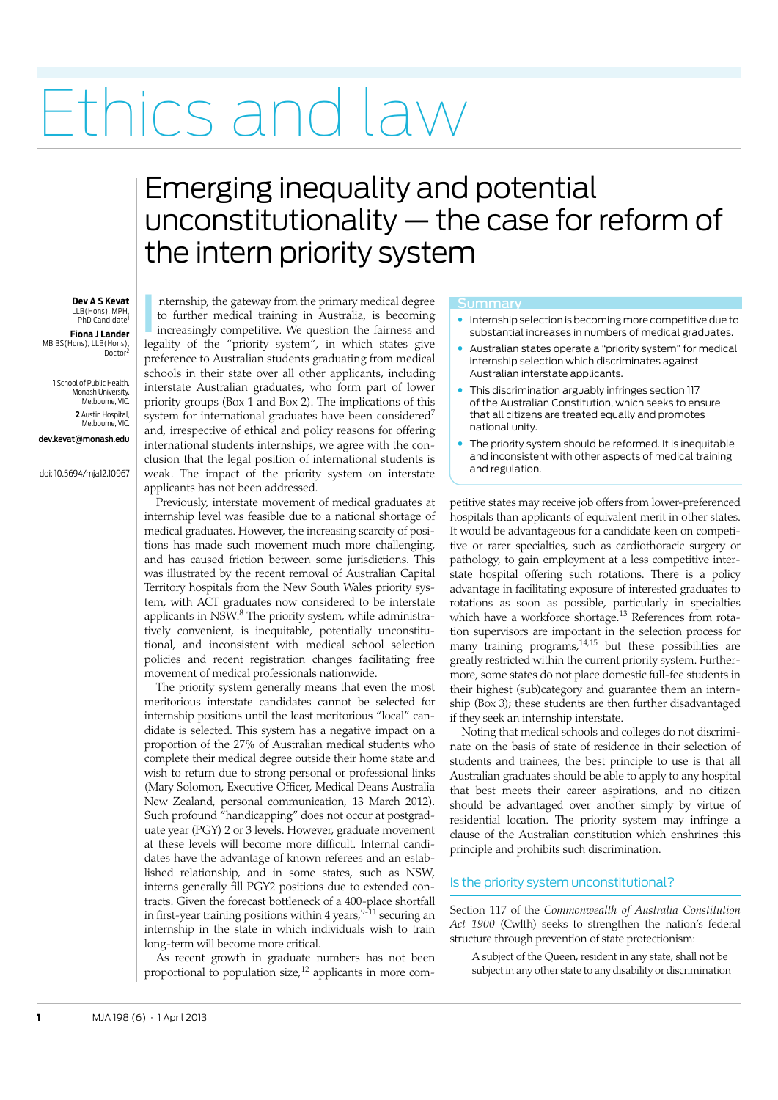# Ethics and law

# Emerging inequality and potential unconstitutionality — the case for reform of the intern priority system

**Dev A S Kevat** LLB(Hons), MPH,<br>PhD Candidate<sup>1</sup>

**Fiona J Lander** MB BS(Hons), LLB(Hons), Doctor<sup>2</sup>

**1** School of Public Health, Monash University, Melbourne, VIC **2** Austin Hospital, Melbourne, VIC.

dev.kevat@monash.edu

doi: 10.5694/mja12.10967

nternship, the gateway from the primary medical degree to further medical training in Australia, is becoming increasingly competitive. We question the fairness and legality of the "priority system", in which states give preference to Australian students graduating from medical schools in their state over all other applicants, including interstate Australian graduates, who form part of lower priority groups (Box 1 and Box 2). The implications of this system for international graduates have been considered<sup>7</sup> and, irrespective of ethical and policy reasons for offering international students internships, we agree with the conclusion that the legal position of international students is weak. The impact of the priority system on interstate applicants has not been addressed. I

Previously, interstate movement of medical graduates at internship level was feasible due to a national shortage of medical graduates. However, the increasing scarcity of positions has made such movement much more challenging, and has caused friction between some jurisdictions. This was illustrated by the recent removal of Australian Capital Territory hospitals from the New South Wales priority system, with ACT graduates now considered to be interstate applicants in NSW.<sup>8</sup> The priority system, while administratively convenient, is inequitable, potentially unconstitutional, and inconsistent with medical school selection policies and recent registration changes facilitating free movement of medical professionals nationwide.

Such profound "handicapping" does not occur at postgraduate year (PGY) 2 or 3 levels. However, graduate movement at these levels will become more difficult. Internal candidates have the advantage of known referees and an established relationship, and in some states, such as NSW, The priority system generally means that even the most meritorious interstate candidates cannot be selected for internship positions until the least meritorious "local" candidate is selected. This system has a negative impact on a proportion of the 27% of Australian medical students who complete their medical degree outside their home state and wish to return due to strong personal or professional links (Mary Solomon, Executive Officer, Medical Deans Australia New Zealand, personal communication, 13 March 2012). interns generally fill PGY2 positions due to extended contracts. Given the forecast bottleneck of a 400-place shortfall in first-year training positions within 4 years,  $9-11$  securing an internship in the state in which individuals wish to train long-term will become more critical.

> As recent growth in graduate numbers has not been proportional to population size, $^{12}$  applicants in more com-

### **Summary**

- **•** Internship selection is becoming more competitive due to substantial increases in numbers of medical graduates.
- **•** Australian states operate a "priority system" for medical internship selection which discriminates against Australian interstate applicants.
- **•** This discrimination arguably infringes section 117 of the Australian Constitution, which seeks to ensure that all citizens are treated equally and promotes national unity.
- **•** The priority system should be reformed. It is inequitable and inconsistent with other aspects of medical training and regulation.

petitive states may receive job offers from lower-preferenced hospitals than applicants of equivalent merit in other states. It would be advantageous for a candidate keen on competitive or rarer specialties, such as cardiothoracic surgery or pathology, to gain employment at a less competitive interstate hospital offering such rotations. There is a policy advantage in facilitating exposure of interested graduates to rotations as soon as possible, particularly in specialties which have a workforce shortage.<sup>13</sup> References from rotation supervisors are important in the selection process for many training programs,<sup>14,15</sup> but these possibilities are greatly restricted within the current priority system. Furthermore, some states do not place domestic full-fee students in their highest (sub)category and guarantee them an internship (Box 3); these students are then further disadvantaged if they seek an internship interstate.

Noting that medical schools and colleges do not discriminate on the basis of state of residence in their selection of students and trainees, the best principle to use is that all Australian graduates should be able to apply to any hospital that best meets their career aspirations, and no citizen should be advantaged over another simply by virtue of residential location. The priority system may infringe a clause of the Australian constitution which enshrines this principle and prohibits such discrimination.

# Is the priority system unconstitutional?

Section 117 of the *Commonwealth of Australia Constitution Act 1900* (Cwlth) seeks to strengthen the nation's federal structure through prevention of state protectionism:

A subject of the Queen, resident in any state, shall not be subject in any other state to any disability or discrimination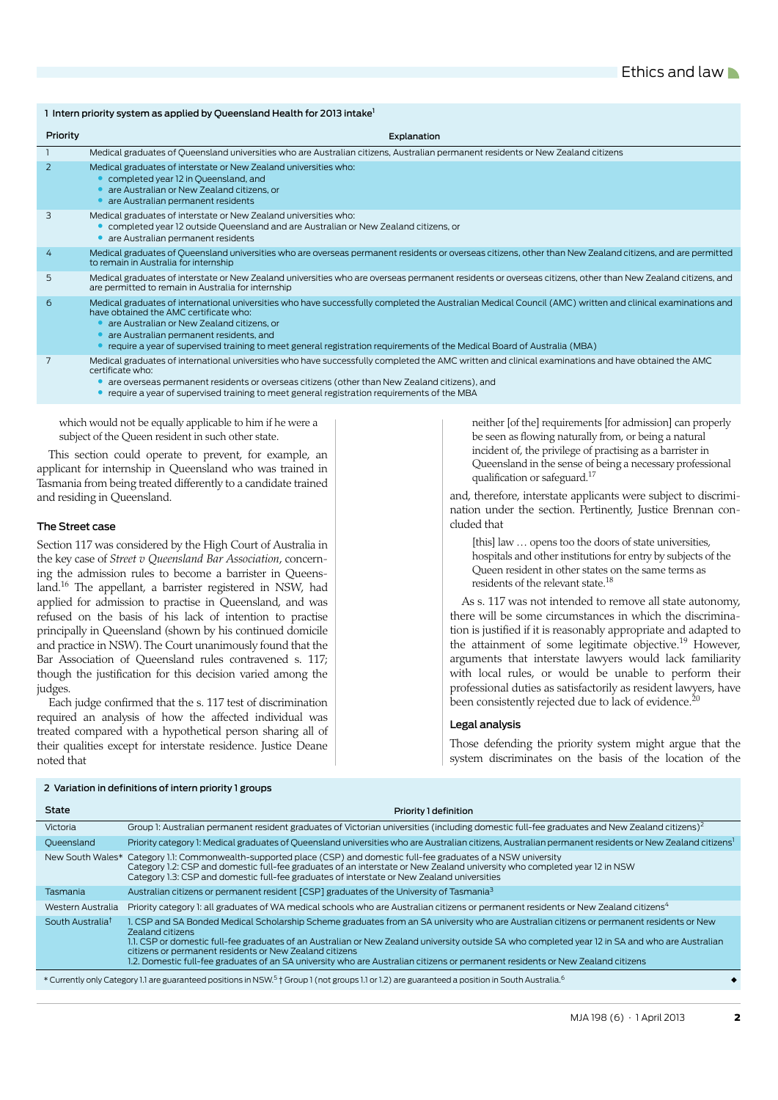| 1 Intern priority system as applied by Queensland Health for 2013 intake <sup>1</sup> |                                                                                                                                                                                                                                                                                                                                                                                                                          |  |  |
|---------------------------------------------------------------------------------------|--------------------------------------------------------------------------------------------------------------------------------------------------------------------------------------------------------------------------------------------------------------------------------------------------------------------------------------------------------------------------------------------------------------------------|--|--|
| Priority                                                                              | Explanation                                                                                                                                                                                                                                                                                                                                                                                                              |  |  |
|                                                                                       | Medical graduates of Queensland universities who are Australian citizens, Australian permanent residents or New Zealand citizens                                                                                                                                                                                                                                                                                         |  |  |
| 2                                                                                     | Medical graduates of interstate or New Zealand universities who:<br>completed year 12 in Queensland, and<br>are Australian or New Zealand citizens, or<br>are Australian permanent residents                                                                                                                                                                                                                             |  |  |
| 3                                                                                     | Medical graduates of interstate or New Zealand universities who:<br>• completed year 12 outside Queensland and are Australian or New Zealand citizens, or<br>are Australian permanent residents                                                                                                                                                                                                                          |  |  |
| 4                                                                                     | Medical graduates of Queensland universities who are overseas permanent residents or overseas citizens, other than New Zealand citizens, and are permitted<br>to remain in Australia for internship                                                                                                                                                                                                                      |  |  |
| 5                                                                                     | Medical graduates of interstate or New Zealand universities who are overseas permanent residents or overseas citizens, other than New Zealand citizens, and<br>are permitted to remain in Australia for internship                                                                                                                                                                                                       |  |  |
| 6                                                                                     | Medical graduates of international universities who have successfully completed the Australian Medical Council (AMC) written and clinical examinations and<br>have obtained the AMC certificate who:<br>are Australian or New Zealand citizens, or<br>are Australian permanent residents, and<br>require a year of supervised training to meet general registration requirements of the Medical Board of Australia (MBA) |  |  |
|                                                                                       | Medical graduates of international universities who have successfully completed the AMC written and clinical examinations and have obtained the AMC<br>certificate who:<br>are overseas permanent residents or overseas citizens (other than New Zealand citizens), and<br>require a year of supervised training to meet general registration requirements of the MBA                                                    |  |  |

which would not be equally applicable to him if he were a subject of the Queen resident in such other state.

This section could operate to prevent, for example, an applicant for internship in Queensland who was trained in Tasmania from being treated differently to a candidate trained and residing in Queensland.

# The Street case

Section 117 was considered by the High Court of Australia in the key case of *Street v Queensland Bar Association*, concerning the admission rules to become a barrister in Queensland.16 The appellant, a barrister registered in NSW, had applied for admission to practise in Queensland, and was refused on the basis of his lack of intention to practise principally in Queensland (shown by his continued domicile and practice in NSW). The Court unanimously found that the Bar Association of Queensland rules contravened s. 117; though the justification for this decision varied among the judges.

Each judge confirmed that the s. 117 test of discrimination required an analysis of how the affected individual was treated compared with a hypothetical person sharing all of their qualities except for interstate residence. Justice Deane noted that

neither [of the] requirements [for admission] can properly be seen as flowing naturally from, or being a natural incident of, the privilege of practising as a barrister in Queensland in the sense of being a necessary professional qualification or safeguard.17

and, therefore, interstate applicants were subject to discrimination under the section. Pertinently, Justice Brennan concluded that

[this] law ... opens too the doors of state universities, hospitals and other institutions for entry by subjects of the Queen resident in other states on the same terms as residents of the relevant state.18

As s. 117 was not intended to remove all state autonomy, there will be some circumstances in which the discrimination is justified if it is reasonably appropriate and adapted to the attainment of some legitimate objective.<sup>19</sup> However, arguments that interstate lawyers would lack familiarity with local rules, or would be unable to perform their professional duties as satisfactorily as resident lawyers, have been consistently rejected due to lack of evidence. $20$ 

# Legal analysis

Those defending the priority system might argue that the system discriminates on the basis of the location of the

| State                                                                                                                                                                    | Priority 1 definition                                                                                                                                                                                                                                                                                                                                                                                                                                                                                           |  |  |  |
|--------------------------------------------------------------------------------------------------------------------------------------------------------------------------|-----------------------------------------------------------------------------------------------------------------------------------------------------------------------------------------------------------------------------------------------------------------------------------------------------------------------------------------------------------------------------------------------------------------------------------------------------------------------------------------------------------------|--|--|--|
| Victoria                                                                                                                                                                 | Group 1: Australian permanent resident graduates of Victorian universities (including domestic full-fee graduates and New Zealand citizens) <sup>2</sup>                                                                                                                                                                                                                                                                                                                                                        |  |  |  |
| Queensland                                                                                                                                                               | Priority category 1: Medical graduates of Queensland universities who are Australian citizens, Australian permanent residents or New Zealand citizens <sup>1</sup>                                                                                                                                                                                                                                                                                                                                              |  |  |  |
| New South Wales*                                                                                                                                                         | Category 1.1: Commonwealth-supported place (CSP) and domestic full-fee graduates of a NSW university<br>Category 1.2: CSP and domestic full-fee graduates of an interstate or New Zealand university who completed year 12 in NSW<br>Category 1.3: CSP and domestic full-fee graduates of interstate or New Zealand universities                                                                                                                                                                                |  |  |  |
| Tasmania                                                                                                                                                                 | Australian citizens or permanent resident [CSP] graduates of the University of Tasmania <sup>3</sup>                                                                                                                                                                                                                                                                                                                                                                                                            |  |  |  |
| Western Australia                                                                                                                                                        | Priority category 1: all graduates of WA medical schools who are Australian citizens or permanent residents or New Zealand citizens <sup>4</sup>                                                                                                                                                                                                                                                                                                                                                                |  |  |  |
| South Australia <sup>t</sup>                                                                                                                                             | 1. CSP and SA Bonded Medical Scholarship Scheme graduates from an SA university who are Australian citizens or permanent residents or New<br>Zealand citizens<br>1.1. CSP or domestic full-fee graduates of an Australian or New Zealand university outside SA who completed year 12 in SA and who are Australian<br>citizens or permanent residents or New Zealand citizens<br>1.2. Domestic full-fee graduates of an SA university who are Australian citizens or permanent residents or New Zealand citizens |  |  |  |
| * Currently only Category 1.1 are guaranteed positions in NSW. <sup>5</sup> † Group 1 (not groups 1.1 or 1.2) are guaranteed a position in South Australia. <sup>6</sup> |                                                                                                                                                                                                                                                                                                                                                                                                                                                                                                                 |  |  |  |

#### 2 Variation in definitions of intern priority 1 groups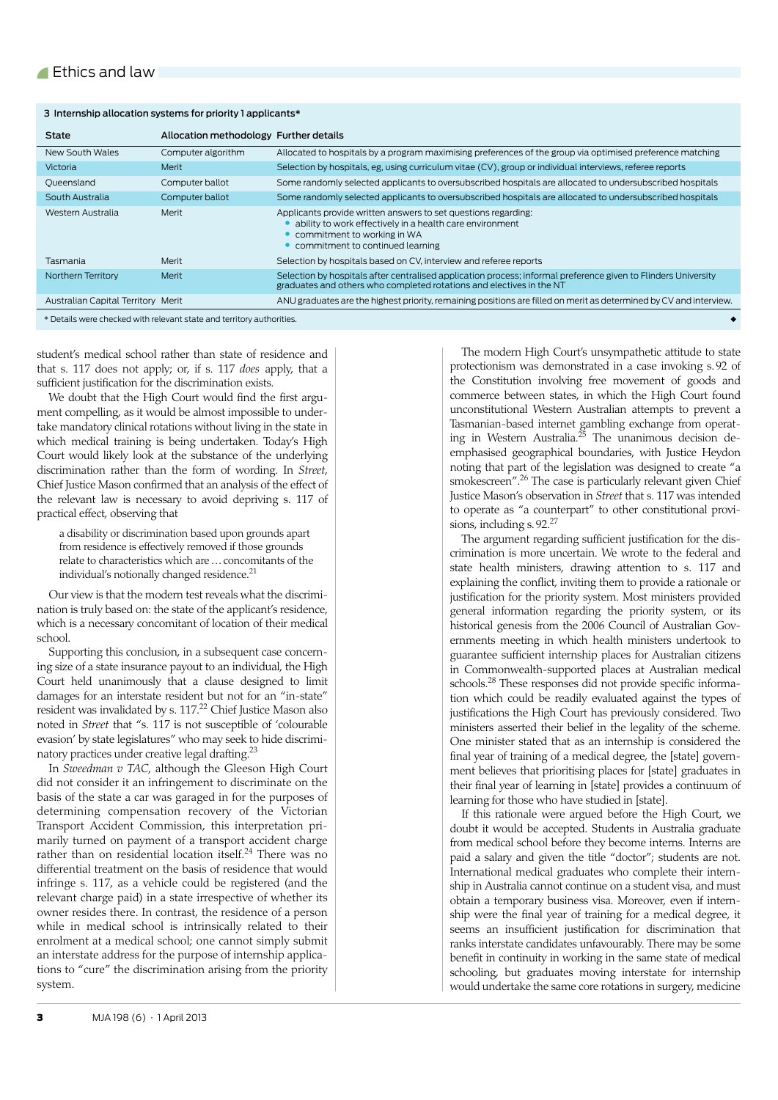#### 3 Internship allocation systems for priority 1 applicants\*

| State                                                                                                                                                    | Allocation methodology Further details |                                                                                                                                                                                               |  |  |
|----------------------------------------------------------------------------------------------------------------------------------------------------------|----------------------------------------|-----------------------------------------------------------------------------------------------------------------------------------------------------------------------------------------------|--|--|
| New South Wales                                                                                                                                          | Computer algorithm                     | Allocated to hospitals by a program maximising preferences of the group via optimised preference matching                                                                                     |  |  |
| Victoria                                                                                                                                                 | Merit                                  | Selection by hospitals, eg, using curriculum vitae (CV), group or individual interviews, referee reports                                                                                      |  |  |
| Queensland                                                                                                                                               | Computer ballot                        | Some randomly selected applicants to oversubscribed hospitals are allocated to undersubscribed hospitals                                                                                      |  |  |
| South Australia                                                                                                                                          | Computer ballot                        | Some randomly selected applicants to oversubscribed hospitals are allocated to undersubscribed hospitals                                                                                      |  |  |
| Western Australia                                                                                                                                        | Merit                                  | Applicants provide written answers to set questions regarding:<br>ability to work effectively in a health care environment<br>commitment to working in WA<br>commitment to continued learning |  |  |
| Tasmania                                                                                                                                                 | Merit                                  | Selection by hospitals based on CV, interview and referee reports                                                                                                                             |  |  |
| Northern Territory                                                                                                                                       | Merit                                  | Selection by hospitals after centralised application process; informal preference given to Flinders University<br>graduates and others who completed rotations and electives in the NT        |  |  |
| ANU graduates are the highest priority, remaining positions are filled on merit as determined by CV and interview.<br>Australian Capital Territory Merit |                                        |                                                                                                                                                                                               |  |  |

\* Details were checked with relevant state and territory authorities. ◆

student's medical school rather than state of residence and that s. 117 does not apply; or, if s. 117 *does* apply, that a sufficient justification for the discrimination exists.

We doubt that the High Court would find the first argument compelling, as it would be almost impossible to undertake mandatory clinical rotations without living in the state in which medical training is being undertaken. Today's High Court would likely look at the substance of the underlying discrimination rather than the form of wording. In *Street*, Chief Justice Mason confirmed that an analysis of the effect of the relevant law is necessary to avoid depriving s. 117 of practical effect, observing that

a disability or discrimination based upon grounds apart from residence is effectively removed if those grounds relate to characteristics which are…concomitants of the individual's notionally changed residence.<sup>21</sup>

Our view is that the modern test reveals what the discrimination is truly based on: the state of the applicant's residence, which is a necessary concomitant of location of their medical school.

Supporting this conclusion, in a subsequent case concerning size of a state insurance payout to an individual, the High Court held unanimously that a clause designed to limit damages for an interstate resident but not for an "in-state" resident was invalidated by s. 117.22 Chief Justice Mason also noted in *Street* that "s. 117 is not susceptible of 'colourable evasion' by state legislatures" who may seek to hide discriminatory practices under creative legal drafting.23

In *Sweedman v TAC*, although the Gleeson High Court did not consider it an infringement to discriminate on the basis of the state a car was garaged in for the purposes of determining compensation recovery of the Victorian Transport Accident Commission, this interpretation primarily turned on payment of a transport accident charge rather than on residential location itself.<sup>24</sup> There was no differential treatment on the basis of residence that would infringe s. 117, as a vehicle could be registered (and the relevant charge paid) in a state irrespective of whether its owner resides there. In contrast, the residence of a person while in medical school is intrinsically related to their enrolment at a medical school; one cannot simply submit an interstate address for the purpose of internship applications to "cure" the discrimination arising from the priority system.

The modern High Court's unsympathetic attitude to state protectionism was demonstrated in a case invoking s.92 of the Constitution involving free movement of goods and commerce between states, in which the High Court found unconstitutional Western Australian attempts to prevent a Tasmanian-based internet gambling exchange from operating in Western Australia.<sup>25</sup> The unanimous decision deemphasised geographical boundaries, with Justice Heydon noting that part of the legislation was designed to create "a smokescreen".<sup>26</sup> The case is particularly relevant given Chief Justice Mason's observation in *Street* that s. 117 was intended to operate as "a counterpart" to other constitutional provisions, including s. 92.<sup>27</sup>

The argument regarding sufficient justification for the discrimination is more uncertain. We wrote to the federal and state health ministers, drawing attention to s. 117 and explaining the conflict, inviting them to provide a rationale or justification for the priority system. Most ministers provided general information regarding the priority system, or its historical genesis from the 2006 Council of Australian Governments meeting in which health ministers undertook to guarantee sufficient internship places for Australian citizens in Commonwealth-supported places at Australian medical schools.28 These responses did not provide specific information which could be readily evaluated against the types of justifications the High Court has previously considered. Two ministers asserted their belief in the legality of the scheme. One minister stated that as an internship is considered the final year of training of a medical degree, the [state] government believes that prioritising places for [state] graduates in their final year of learning in [state] provides a continuum of learning for those who have studied in [state].

If this rationale were argued before the High Court, we doubt it would be accepted. Students in Australia graduate from medical school before they become interns. Interns are paid a salary and given the title "doctor"; students are not. International medical graduates who complete their internship in Australia cannot continue on a student visa, and must obtain a temporary business visa. Moreover, even if internship were the final year of training for a medical degree, it seems an insufficient justification for discrimination that ranks interstate candidates unfavourably. There may be some benefit in continuity in working in the same state of medical schooling, but graduates moving interstate for internship would undertake the same core rotations in surgery, medicine